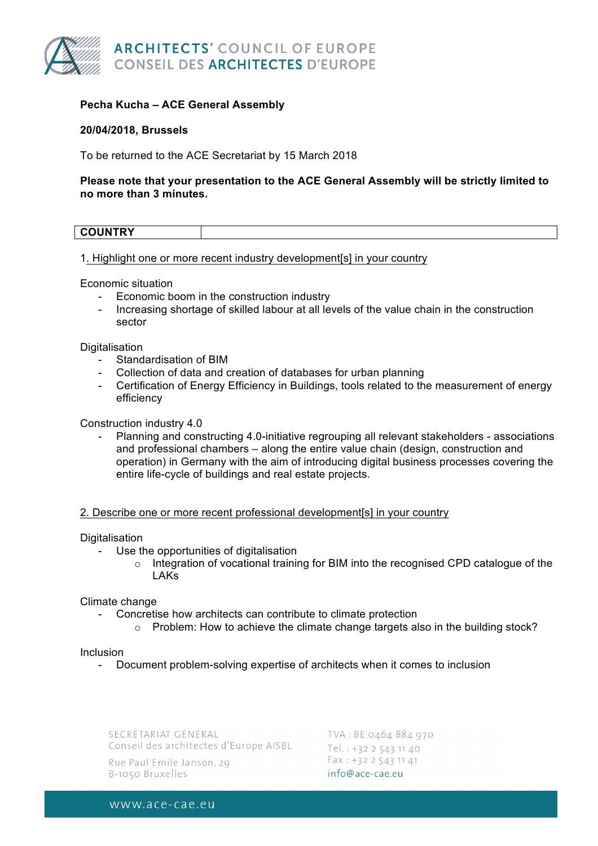

# **Pecha Kucha – ACE General Assembly**

## **20/04/2018, Brussels**

To be returned to the ACE Secretariat by 15 March 2018

## **Please note that your presentation to the ACE General Assembly will be strictly limited to no more than 3 minutes.**

| <b>COUNTRY</b> |  |
|----------------|--|
|                |  |

1. Highlight one or more recent industry development[s] in your country

Economic situation

- Economic boom in the construction industry
- Increasing shortage of skilled labour at all levels of the value chain in the construction sector

### **Digitalisation**

- Standardisation of BIM
- Collection of data and creation of databases for urban planning
- Certification of Energy Efficiency in Buildings, tools related to the measurement of energy efficiency

Construction industry 4.0

- Planning and constructing 4.0-initiative regrouping all relevant stakeholders - associations and professional chambers – along the entire value chain (design, construction and operation) in Germany with the aim of introducing digital business processes covering the entire life-cycle of buildings and real estate projects.

#### 2. Describe one or more recent professional development[s] in your country

#### **Digitalisation**

- Use the opportunities of digitalisation
	- o Integration of vocational training for BIM into the recognised CPD catalogue of the LAKs

#### Climate change

- Concretise how architects can contribute to climate protection
	- o Problem: How to achieve the climate change targets also in the building stock?

#### Inclusion

- Document problem-solving expertise of architects when it comes to inclusion

SECRÉTARIAT GÉNÉRAL Conseil des architectes d'Europe AISBL

Rue Paul Emile Janson, 29 B-1050 Bruxelles

TVA: BE 0464 884 970 Tel.: +32 2 543 11 40 Fax: +32 2 543 11 41 info@ace-cae.eu

www.ace-cae.eu